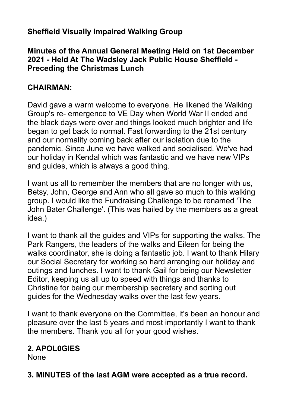## **Sheffield Visually Impaired Walking Group**

#### **Minutes of the Annual General Meeting Held on 1st December 2021 - Held At The Wadsley Jack Public House Sheffield - Preceding the Christmas Lunch**

#### **CHAIRMAN:**

David gave a warm welcome to everyone. He likened the Walking Group's re- emergence to VE Day when World War II ended and the black days were over and things looked much brighter and life began to get back to normal. Fast forwarding to the 21st century and our normality coming back after our isolation due to the pandemic. Since June we have walked and socialised. We've had our holiday in Kendal which was fantastic and we have new VIPs and guides, which is always a good thing.

I want us all to remember the members that are no longer with us, Betsy, John, George and Ann who all gave so much to this walking group. I would like the Fundraising Challenge to be renamed 'The John Bater Challenge'. (This was hailed by the members as a great idea.)

I want to thank all the guides and VIPs for supporting the walks. The Park Rangers, the leaders of the walks and Eileen for being the walks coordinator, she is doing a fantastic job. I want to thank Hilary our Social Secretary for working so hard arranging our holiday and outings and lunches. I want to thank Gail for being our Newsletter Editor, keeping us all up to speed with things and thanks to Christine for being our membership secretary and sorting out guides for the Wednesday walks over the last few years.

I want to thank everyone on the Committee, it's been an honour and pleasure over the last 5 years and most importantly I want to thank the members. Thank you all for your good wishes.

## **2. APOL0GIES**

None

**3. MINUTES of the last AGM were accepted as a true record.**